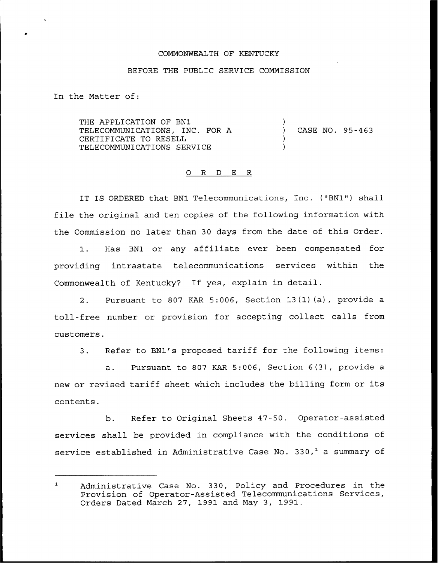## COMMONWEALTH OF KENTUCKY

## BEFORE THE PUBLIC SERVICE COMMISSION

In the Matter of:

THE APPLICATION OF BN1 TELECOMMUNICATIONS, INC. FOR A CERTIFICATE TO RESELL TELECOMMUNICATIONS SERVICE ) ) CASE NO. 95-463 ) )

## 0 R <sup>D</sup> E R

IT IS ORDERED that BN1 Telecommunications, Inc. ("BN1") shall file the original and ten copies of the following information with the Commission no later than 30 days from the date of this Order.

1. Has BN1 or any affiliate ever been compensated for providing intrastate telecommunications services within the Commonwealth of Kentucky? If yes, explain in detail.

2. Pursuant to 807 KAR 5:006, Section 13(1)(a), provide a toll-free number or provision for accepting collect calls from customers.

3. Refer to BN1's proposed tariff for the following items:

a. Pursuant to 807 KAR 5:006, Section 6(3), provide a new or revised tariff sheet which includes the billing form or its contents.

b. Refer to Original Sheets 47-50. Operator-assisted services shall be provided in compliance with the conditions of service established in Administrative Case No. 330, $<sup>1</sup>$  a summary of</sup>

 $\mathbf{1}$ Administrative Case No. 330, Policy and Procedures in the Provision of Operator-Assisted Telecommunications Services, Orders Dated March 27, 1991 and May 3, 1991.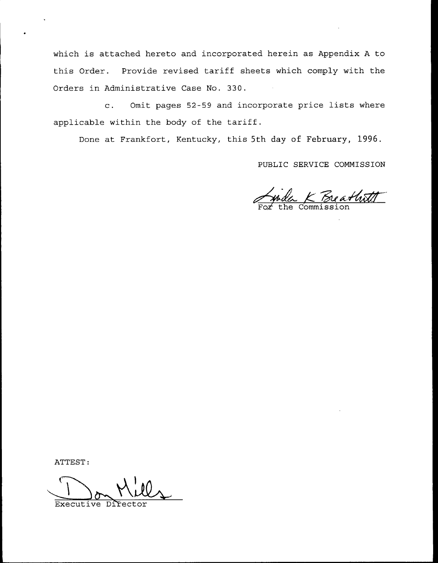which is attached hereto and incorporated herein as Appendix <sup>A</sup> to this Order. Provide revised tariff sheets which comply with the Orders in Administrative Case No. 330.

c. Omit pages 52-59 and incorporate price lists where applicable within the body of the tariff.

Done at Frankfort, Kentucky, this 5th day of February, 1996.

PUBLIC SERVICE COMMISSION

K Breathatt

ATTEST

Executive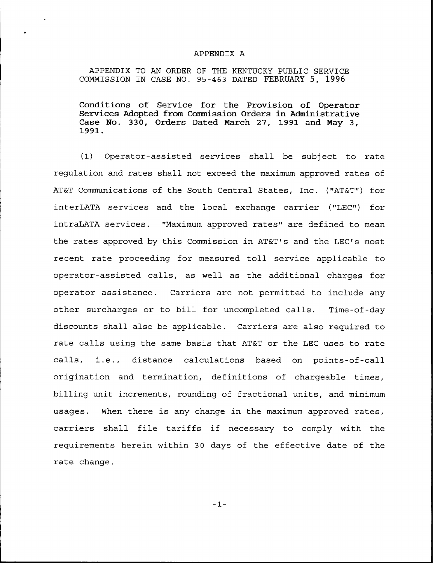## APPENDIX A

APPENDIX TO AN ORDER OF THE KENTUCKY PUBLIC SERVICE COMMISSION IN CASE NO. 95-463 DATED FEBRUARY 5, 1996

Conditions of Service for the Provision of Operator Services Adopted from Commission Orders in Administrative Case No. 330, Orders Dated March 27, <sup>1991</sup> and May 3, 1991.

(1) Operator-assisted services shall be subject to rate regulation and rates shall not exceed the maximum approved rates of AT&T Communications of the South Central States, Inc. ("AT&T") for interLATA services and the local exchange carrier ("LEC") for intraLATA services. "Maximum approved rates" are defined to mean the rates approved by this Commission in AT&T's and the LEC's most recent rate proceeding for measured toll service applicable to operator-assisted calls, as well as the additional charges for operator assistance. Carriers are not permitted to include any other surcharges or to bill for uncompleted calls. Time-of-day discounts shall also be applicable. Carriers are also required to rate calls using the same basis that AT&T or the LEC uses to rate calls, i.e., distance calculations based on points-of-call origination and termination, definitions of chargeable times, billing unit increments, rounding of fractional units, and minimum usages. When there is any change in the maximum approved rates, carriers shall file tariffs if necessary to comply with the requirements herein within 30 days of the effective date of the rate change.

 $-1-$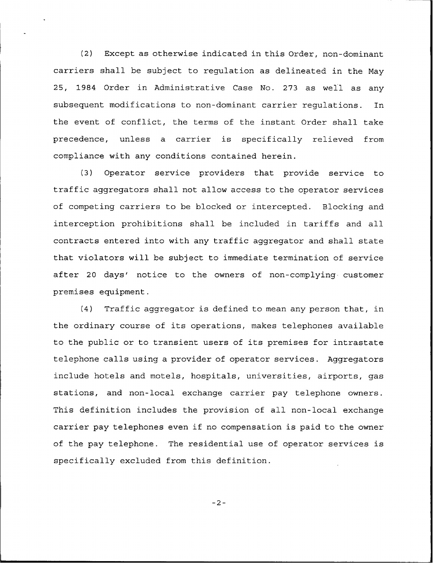(2) Except as otherwise indicated in this Order, non-dominant carriers shall be subject to regulation as delineated in the May 25, 1984 Order in Administrative Case No. 273 as well as any subsequent modifications to non-dominant carrier regulations. In the event of conflict, the terms of the instant Order shall take precedence, unless a carrier is specifically relieved from compliance with any conditions contained herein.

(3) Operator service providers that provide service to traffic aggregators shall not allow access to the operator services of competing carriers to be blocked or intercepted. Blocking and interception prohibitions shall be included in tariffs and all contracts entered into with any traffic aggregator and shall state that violators will be subject to immediate termination of service after 20 days' notice to the owners of non-complying customer premises equipment.

(4) Traffic aggregator is defined to mean any person that, in the ordinary course of its operations, makes telephones available to the public or to transient users of its premises for intrastate telephone calls using a provider of operator services. Aggregators include hotels and motels, hospitals, universities, airports, gas stations, and non-local exchange carrier pay telephone owners. This definition includes the provision of all non-local exchange carrier pay telephones even if no compensation is paid to the owner of the pay telephone. The residential use of operator services is specifically excluded from this definition.

 $-2-$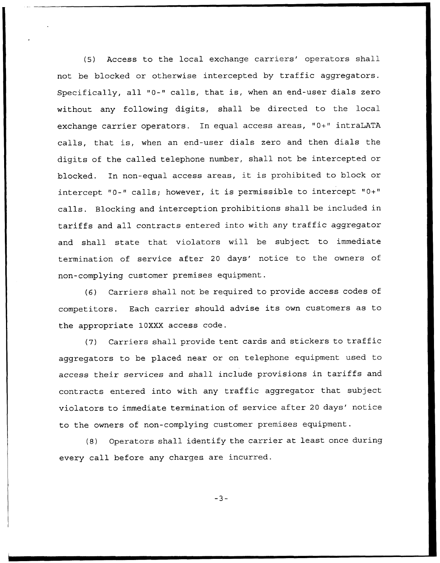(5) Access to the local exchange carriers' operators shall not be blocked or otherwise intercepted by traffic aggregators. Specifically, all "0-" calls, that is, when an end-user dials zero without any following digits, shall be directed to the local exchange carrier operators. In equal access areas, "0+" intraLATA calls, that is, when an end-user dials zero and then dials the digits of the called telephone number, shall not be intercepted or blocked. In non-equal access areas, it is prohibited to block or intercept "0-" calls; however, it is permissible to intercept "0+" calls. Blocking and interception prohibitions shall be included in tariffs and all contracts entered into with any traffic aggregator and shall state that violators will be subject to immediate termination of service after 20 days' notice to the owners of non-complying customer premises equipment.

{6) Carriers shall not be required to provide access codes of competitors. Each carrier should advise its own customers as to the appropriate 10XXX access code.

(7) Carriers shall provide tent cards and stickers to traffic aggregators to be placed near or on telephone equipment used to access their services and shall include provisions in tariffs and contracts entered into with any traffic aggregator that subject violators to immediate termination of service after 20 days' notice to the owners of non-complying customer premises equipment.

(8) Operators shall identify the carrier at least once during every call before any charges are incurred.

 $-3-$